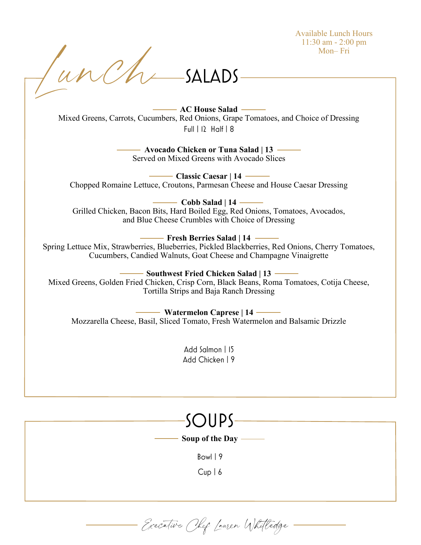Available Lunch Hours 11:30 am - 2:00 pm Mon– Fri

Tunch  $-SALADS$ 

> **AC House Salad** Mixed Greens, Carrots, Cucumbers, Red Onions, Grape Tomatoes, and Choice of Dressing  $Full 12 Half 8$

> > **Avocado Chicken or Tuna Salad | 13**  Served on Mixed Greens with Avocado Slices

**Classic Caesar | 14**  Chopped Romaine Lettuce, Croutons, Parmesan Cheese and House Caesar Dressing

**Cobb Salad | 14**  Grilled Chicken, Bacon Bits, Hard Boiled Egg, Red Onions, Tomatoes, Avocados, and Blue Cheese Crumbles with Choice of Dressing

**Fresh Berries Salad | 14** 

Spring Lettuce Mix, Strawberries, Blueberries, Pickled Blackberries, Red Onions, Cherry Tomatoes, Cucumbers, Candied Walnuts, Goat Cheese and Champagne Vinaigrette

**Southwest Fried Chicken Salad | 13 -**

Mixed Greens, Golden Fried Chicken, Crisp Corn, Black Beans, Roma Tomatoes, Cotija Cheese, Tortilla Strips and Baja Ranch Dressing

**Watermelon Caprese | 14** Mozzarella Cheese, Basil, Sliced Tomato, Fresh Watermelon and Balsamic Drizzle

> Add Salmon | 15 Add Chicken | 9

 $S$   $\bigcup$   $\bigcup$   $\bigcup$   $\bigcup$   $\bigcup$   $\bigcup$   $\bigcup$   $\bigcup$   $\bigcup$   $\bigcup$   $\bigcup$   $\bigcup$   $\bigcup$   $\bigcup$   $\bigcup$   $\bigcup$   $\bigcup$   $\bigcup$   $\bigcup$   $\bigcup$   $\bigcup$   $\bigcup$   $\bigcup$   $\bigcup$   $\bigcup$   $\bigcup$   $\bigcup$   $\bigcup$   $\bigcup$   $\bigcup$   $\bigcup$   $\bigcup$   $\bigcup$   $\bigcup$   $\bigcup$   $\bigcup$ 

**Soup of the Day** 

 $Row19$ 

 $Cup$  | 6

- Executive Chef Lauren Whitledge